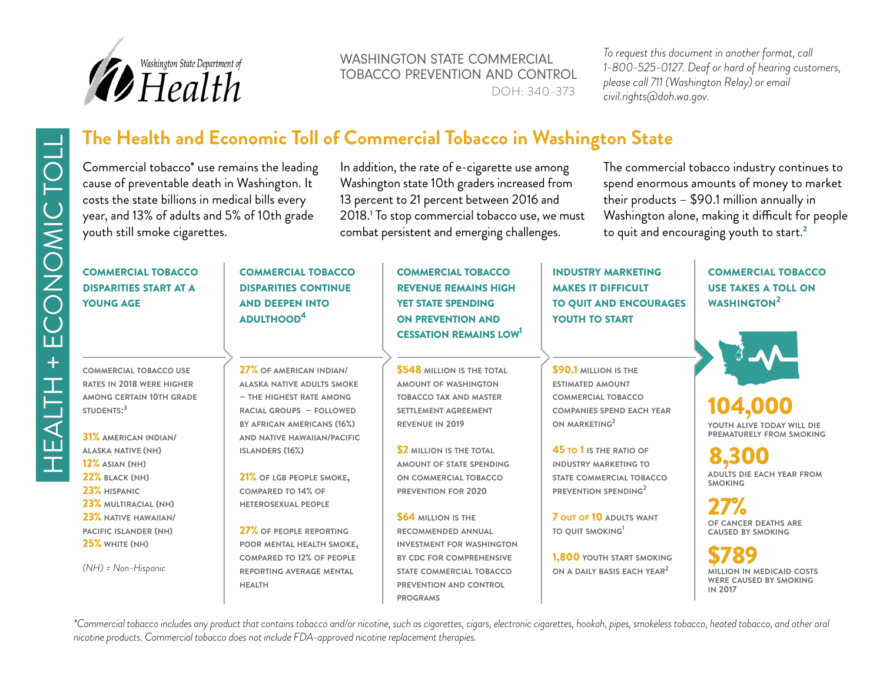

WASHINGTON STATE COMMERCIAL TOBACCO PREVENTION AND CONTROL DOH: 340-373

*To request this document in another format, call 1-800-525-0127. Deaf or hard of hearing customers, please call 711 (Washington Relay) or email civil.rights@doh.wa.gov.*

# Commercial tobacco\* use remains the leading

cause of preventable death in Washington. It costs the state billions in medical bills every year, and 13% of adults and 5% of 10th grade youth still smoke cigarettes.

The Health and Economic Toll of Commercial Tobacco in Washington State<br>
Commercial tobacco use remains the leading in addition, the rate of e-cigarette use among The commercial<br>
costs the state billions in medical bill In addition, the rate of e-cigarette use among Washington state 10th graders increased from 13 percent to 21 percent between 2016 and 2018.<sup>1</sup> To stop commercial tobacco use, we must combat persistent and emerging challenges.

The commercial tobacco industry continues to spend enormous amounts of money to market their products – \$90.1 million annually in Washington alone, making it difficult for people to quit and encouraging youth to start.<sup>2</sup>

# commercial tobacco disparities start at a young age

**commercial tobacco use rates in 2018 were higher among certain 10th grade students: 3**

31% **american indian/ alaska native (nh)** 12% **asian (nh)** 22% **black (nh)** 23% **hispanic** 23% **multiracial (nh)** 23% **native hawaiian/ pacific islander (nh)** 25% **white (nh)**

*(NH) = Non-Hispanic*

commercial tobacco disparities continue and deepen into adulthood4

27% **of american indian/ alaska native adults smoke – the highest rate among racial groups – followed by african americans (16%) and native hawaiian/pacific**

21% **of lgb people smoke, compared to 14% of heterosexual people**

**islanders (16%)**

27% **of people reporting poor mental health smoke, compared to 12% of people reporting average mental health**

commercial tobacco revenue remains high YET STATE SPENDING on prevention and cessation remains low1

\$548 **million is the total amount of washington tobacco tax and master settlement agreement revenue in 2019**

\$2 **million is the total amount of state spending on commercial tobacco prevention for 2020**

\$64 **million is the recommended annual investment for washington by cdc for comprehensive state commercial tobacco prevention and control programs**

industry marketing makes it difficult to quit and encourages YOUTH TO START

\$90.1 **million is the estimated amount commercial tobacco companies spend each year on marketing2**

45 to 1 **is the ratio of industry marketing to state commercial tobacco prevention spending2**

7 out of 10 **adults want to quit smoking1**

1,800 **youth start smoking on a daily basis each year2**

commercial tobacco use takes a toll on WASHINGTON<sup>2</sup>

**youth alive today will die** 104,000

**prematurely from smoking** 8,300

**adults die each year from smoking**

**of cancer deaths are** 27% **caused by smoking**

**million in medicaid costs** \$789 **were caused by smoking in 2017**

*\*Commercial tobacco includes any product that contains tobacco and/or nicotine, such as cigarettes, cigars, electronic cigarettes, hookah, pipes, smokeless tobacco, heated tobacco, and other oral nicotine products. Commercial tobacco does not include FDA-approved nicotine replacement therapies.*